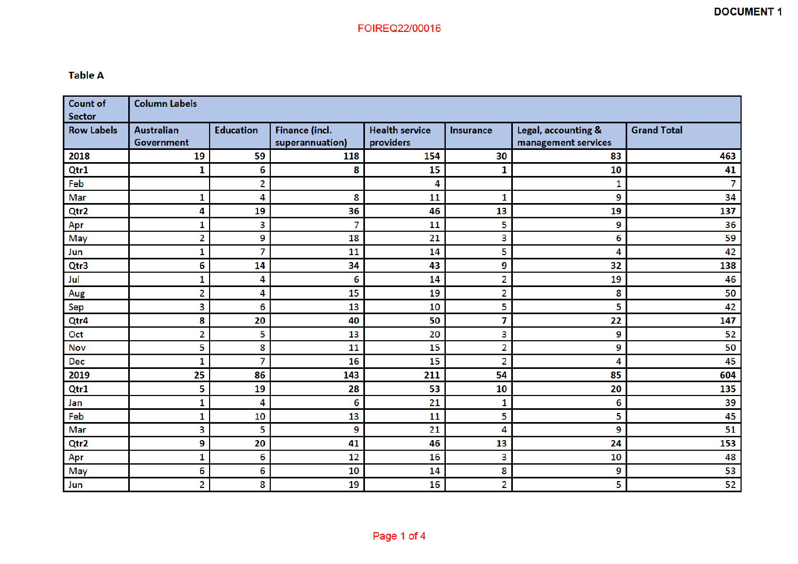## **Table A**

| <b>Count of</b><br><b>Sector</b> | <b>Column Labels</b>                   |                  |                                          |                                    |                  |                                            |                    |
|----------------------------------|----------------------------------------|------------------|------------------------------------------|------------------------------------|------------------|--------------------------------------------|--------------------|
| <b>Row Labels</b>                | <b>Australian</b><br><b>Government</b> | <b>Education</b> | <b>Finance (incl.</b><br>superannuation) | <b>Health service</b><br>providers | <b>Insurance</b> | Legal, accounting &<br>management services | <b>Grand Total</b> |
| 2018                             | 19                                     | 59               | 118                                      | 154                                | 30               | 83                                         | 463                |
| Qtr1                             | 1                                      | 6                | 8                                        | 15                                 | 1                | 10                                         | 41                 |
| Feb                              |                                        | 2                |                                          | 4                                  |                  | 1                                          | 7                  |
| Mar                              | 1                                      | 4                | 8                                        | 11                                 | 1                | 9                                          | 34                 |
| Qtr2                             | 4                                      | 19               | 36                                       | 46                                 | 13               | 19                                         | 137                |
| Apr                              | 1                                      | 3                | 7                                        | 11                                 | 5                | 9                                          | 36                 |
| May                              | 2                                      | 9                | 18                                       | 21                                 | 3                | 6                                          | 59                 |
| Jun                              | 1                                      | 7                | 11                                       | 14                                 | 5                | 4                                          | 42                 |
| Qtr3                             | 6                                      | 14               | 34                                       | 43                                 | 9                | 32                                         | 138                |
| Jul                              | 1                                      | 4                | 6                                        | 14                                 | $\overline{2}$   | 19                                         | 46                 |
| Aug                              | $\overline{2}$                         | 4                | 15                                       | 19                                 | $\overline{a}$   | 8                                          | 50                 |
| Sep                              | 3                                      | 6                | 13                                       | 10                                 | 5                | 5                                          | 42                 |
| Qtr4                             | 8                                      | 20               | 40                                       | 50                                 | 7                | 22                                         | 147                |
| Oct                              | 2                                      | 5                | 13                                       | 20                                 | 3                | 9                                          | 52                 |
| Nov                              | 5                                      | 8                | 11                                       | 15                                 | $\overline{2}$   | 9                                          | 50                 |
| <b>Dec</b>                       | 1                                      | 7                | 16                                       | 15                                 | $\overline{2}$   | 4                                          | 45                 |
| 2019                             | 25                                     | 86               | 143                                      | 211                                | 54               | 85                                         | 604                |
| Qtr1                             | 5                                      | 19               | 28                                       | 53                                 | 10               | 20                                         | 135                |
| Jan                              | 1                                      | 4                | 6                                        | 21                                 | 1                | 6                                          | 39                 |
| Feb                              | 1                                      | 10               | 13                                       | 11                                 | 5                | 5                                          | 45                 |
| Mar                              | 3                                      | 5                | 9                                        | 21                                 | 4                | 9                                          | 51                 |
| Qtr2                             | 9                                      | 20               | 41                                       | 46                                 | 13               | 24                                         | 153                |
| Apr                              | 1                                      | 6                | 12                                       | 16                                 | 3                | 10                                         | 48                 |
| May                              | 6                                      | 6                | 10                                       | 14                                 | 8                | 9                                          | 53                 |
| Jun                              | 2                                      | 8                | 19                                       | 16                                 | $\overline{2}$   | 5                                          | 52                 |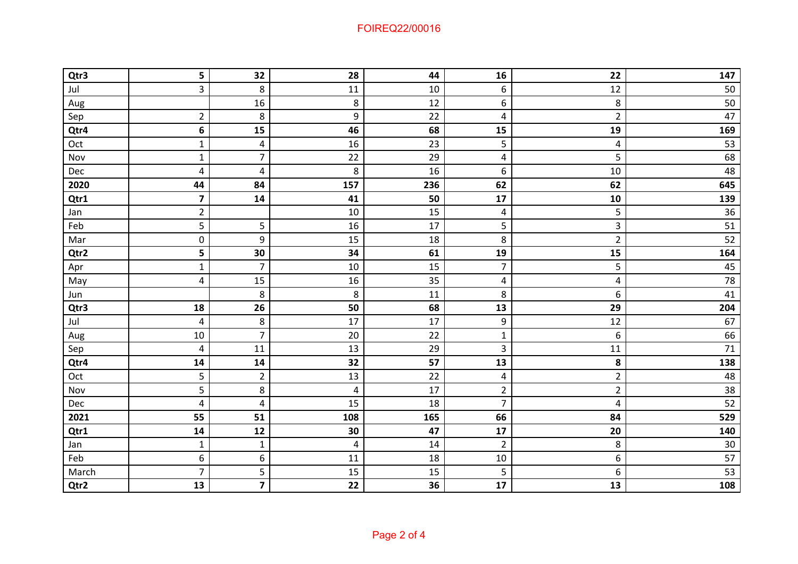## FOIREQ22/00016

| Qtr3  | 5                       | 32                      | 28                      | 44  | 16                      | 22             | 147             |
|-------|-------------------------|-------------------------|-------------------------|-----|-------------------------|----------------|-----------------|
| Jul   | 3                       | 8                       | 11                      | 10  | 6                       | 12             | 50              |
| Aug   |                         | 16                      | 8                       | 12  | 6                       | 8              | 50              |
| Sep   | $\overline{2}$          | 8                       | 9                       | 22  | $\overline{\mathbf{4}}$ | $\overline{2}$ | 47              |
| Qtr4  | 6                       | 15                      | 46                      | 68  | 15                      | 19             | 169             |
| Oct   | $\mathbf 1$             | $\overline{\mathbf{4}}$ | 16                      | 23  | 5                       | 4              | 53              |
| Nov   | $\mathbf 1$             | $\overline{7}$          | 22                      | 29  | $\overline{\mathbf{4}}$ | 5              | 68              |
| Dec   | 4                       | 4                       | 8                       | 16  | 6                       | 10             | 48              |
| 2020  | 44                      | 84                      | 157                     | 236 | 62                      | 62             | 645             |
| Qtr1  | $\overline{\mathbf{z}}$ | 14                      | 41                      | 50  | 17                      | 10             | 139             |
| Jan   | $\overline{2}$          |                         | 10                      | 15  | 4                       | 5              | 36              |
| Feb   | 5                       | 5                       | 16                      | 17  | 5                       | 3              | 51              |
| Mar   | 0                       | 9                       | 15                      | 18  | 8                       | $\overline{2}$ | 52              |
| Qtr2  | 5                       | 30                      | 34                      | 61  | 19                      | 15             | 164             |
| Apr   | $\mathbf 1$             | $\overline{7}$          | 10                      | 15  | $\overline{7}$          | 5              | 45              |
| May   | $\overline{4}$          | 15                      | 16                      | 35  | 4                       | 4              | 78              |
| Jun   |                         | 8                       | 8                       | 11  | 8                       | 6              | 41              |
| Qtr3  | 18                      | 26                      | 50                      | 68  | 13                      | 29             | 204             |
| Jul   | 4                       | 8                       | 17                      | 17  | 9                       | 12             | 67              |
| Aug   | 10                      | $\overline{7}$          | 20                      | 22  | $\mathbf 1$             | 6              | 66              |
| Sep   | $\overline{\mathbf{4}}$ | 11                      | 13                      | 29  | 3                       | 11             | 71              |
| Qtr4  | ${\bf 14}$              | 14                      | 32                      | 57  | 13                      | 8              | 138             |
| Oct   | 5                       | $\overline{2}$          | 13                      | 22  | 4                       | $\overline{2}$ | 48              |
| Nov   | 5                       | 8                       | $\overline{\mathbf{4}}$ | 17  | $\overline{2}$          | $\overline{2}$ | 38              |
| Dec   | 4                       | $\overline{\mathbf{4}}$ | 15                      | 18  | $\overline{7}$          | 4              | $\overline{52}$ |
| 2021  | 55                      | 51                      | 108                     | 165 | 66                      | 84             | 529             |
| Qtr1  | ${\bf 14}$              | 12                      | 30                      | 47  | $17\,$                  | 20             | 140             |
| Jan   | $\mathbf{1}$            | $\mathbf{1}$            | $\overline{\mathbf{4}}$ | 14  | $\overline{2}$          | 8              | $30\,$          |
| Feb   | 6                       | 6                       | 11                      | 18  | $10\,$                  | 6              | $\overline{57}$ |
| March | $\overline{7}$          | 5                       | 15                      | 15  | 5                       | 6              | 53              |
| Qtr2  | 13                      | $\overline{\mathbf{z}}$ | 22                      | 36  | 17                      | 13             | 108             |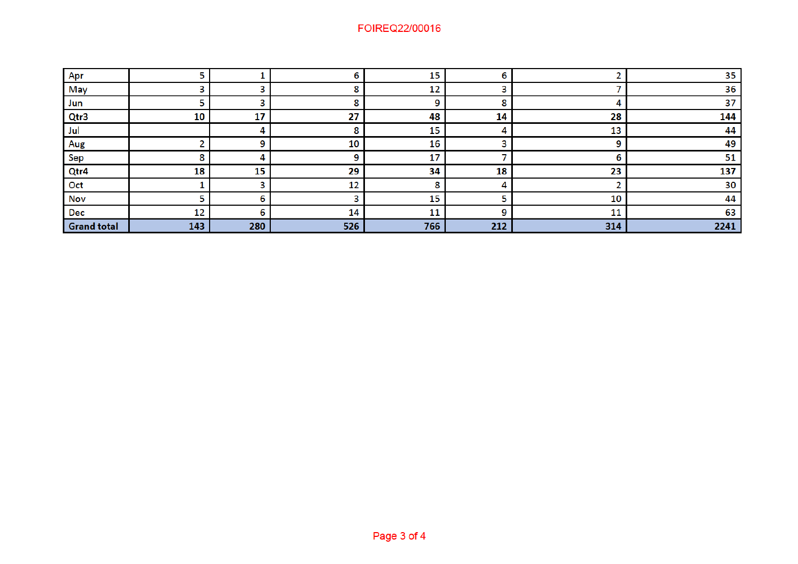## FOIREQ22/00016

| Apr                |     |     |     | 15        |     |     | 35   |
|--------------------|-----|-----|-----|-----------|-----|-----|------|
| May                |     |     |     | 12        |     |     | 36   |
| Jun                |     |     | 8   |           |     |     | 37   |
| Qtr3               | 10  | 17  | 27  | 48        | 14  | 28  | 144  |
| Jul                |     |     | 8   | 15        | 4   | 13  | 44   |
| Aug                |     |     | 10  | 16        |     | o   | 49   |
| Sep                |     |     | q   | 17        |     |     | 51   |
| Qtr4               | 18  | 15  | 29  | 34        | 18  | 23  | 137  |
| Oct                |     |     | 12  | $\bullet$ | 4   |     | 30   |
| Nov                |     | n   | っ   | 15        |     | 10  | 44   |
| Dec                | 12  |     | 14  | 11        | 9   | 11  | 63   |
| <b>Grand total</b> | 143 | 280 | 526 | 766       | 212 | 314 | 2241 |